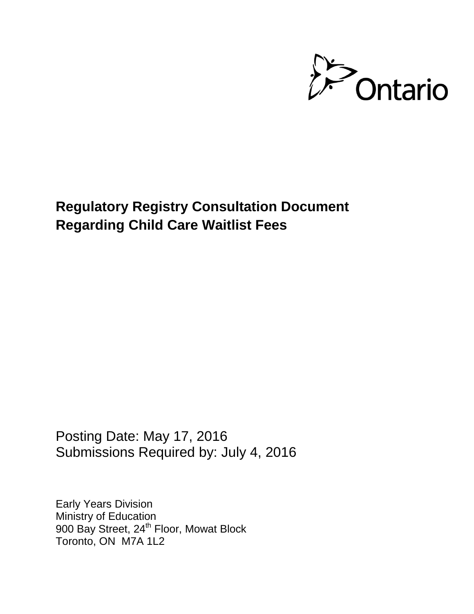

**Regulatory Registry Consultation Document Regarding Child Care Waitlist Fees**

Posting Date: May 17, 2016 Submissions Required by: July 4, 2016

Early Years Division Ministry of Education 900 Bay Street, 24<sup>th</sup> Floor, Mowat Block Toronto, ON M7A 1L2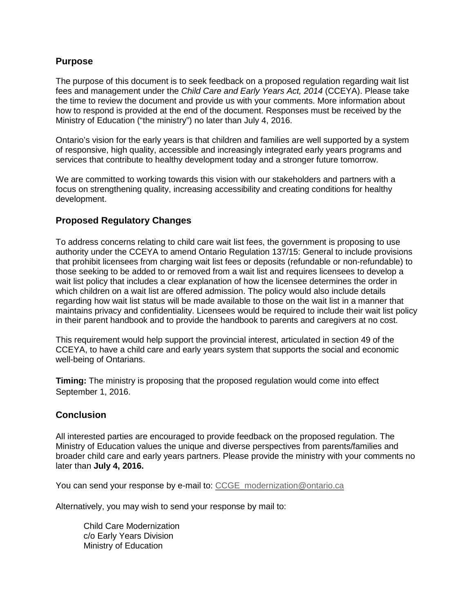## **Purpose**

The purpose of this document is to seek feedback on a proposed regulation regarding wait list fees and management under the *[Child](http://www.e-laws.gov.on.ca/html/statutes/english/elaws_statutes_90d02_e.htm) Care and Early Years Act, 2014* (CCEYA). Please take the time to review the document and provide us with your comments. More information about how to respond is provided at the end of the document. Responses must be received by the Ministry of Education ("the ministry") no later than July 4, 2016.

Ontario's vision for the early years is that children and families are well supported by a system of responsive, high quality, accessible and increasingly integrated early years programs and services that contribute to healthy development today and a stronger future tomorrow.

We are committed to working towards this vision with our stakeholders and partners with a focus on strengthening quality, increasing accessibility and creating conditions for healthy development.

## **Proposed Regulatory Changes**

To address concerns relating to child care wait list fees, the government is proposing to use authority under the CCEYA to amend Ontario Regulation 137/15: General to include provisions that prohibit licensees from charging wait list fees or deposits (refundable or non-refundable) to those seeking to be added to or removed from a wait list and requires licensees to develop a wait list policy that includes a clear explanation of how the licensee determines the order in which children on a wait list are offered admission. The policy would also include details regarding how wait list status will be made available to those on the wait list in a manner that maintains privacy and confidentiality. Licensees would be required to include their wait list policy in their parent handbook and to provide the handbook to parents and caregivers at no cost.

This requirement would help support the provincial interest, articulated in section 49 of the CCEYA, to have a child care and early years system that supports the social and economic well-being of Ontarians.

**Timing:** The ministry is proposing that the proposed regulation would come into effect September 1, 2016.

## **Conclusion**

All interested parties are encouraged to provide feedback on the proposed regulation. The Ministry of Education values the unique and diverse perspectives from parents/families and broader child care and early years partners. Please provide the ministry with your comments no later than **July 4, 2016.**

You can send your response by e-mail to: [CCGE\\_modernization@ontario.ca](mailto:CCGE_modernization@ontario.ca)

Alternatively, you may wish to send your response by mail to:

Child Care Modernization c/o Early Years Division Ministry of Education